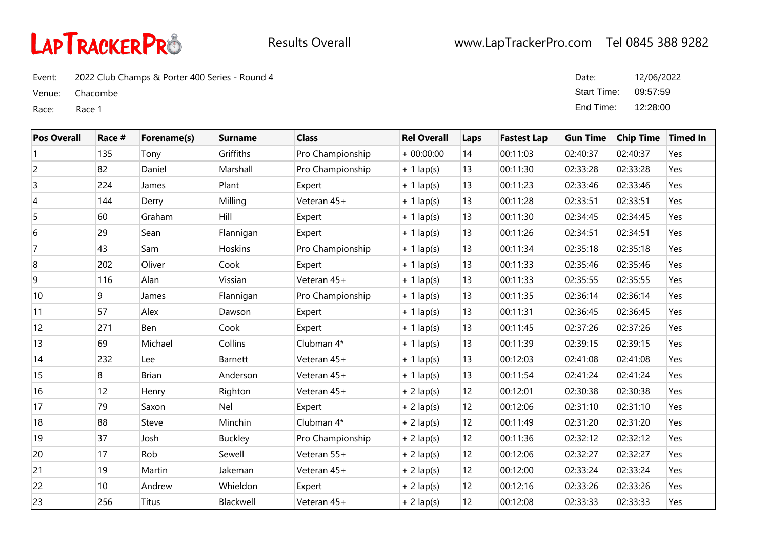

Event: 2022 Club Champs & Porter 400 Series - Round 4

Venue: Chacombe

Race: Race 1

| Date:       | 12/06/2022 |
|-------------|------------|
| Start Time: | 09:57:59   |
| End Time:   | 12:28:00   |

| <b>Pos Overall</b> | Race # | Forename(s)  | <b>Surname</b> | <b>Class</b>     | <b>Rel Overall</b> | Laps | <b>Fastest Lap</b> | <b>Gun Time</b> | <b>Chip Time</b> | <b>Timed In</b> |
|--------------------|--------|--------------|----------------|------------------|--------------------|------|--------------------|-----------------|------------------|-----------------|
|                    | 135    | Tony         | Griffiths      | Pro Championship | $+00:00:00$        | 14   | 00:11:03           | 02:40:37        | 02:40:37         | Yes             |
| 2                  | 82     | Daniel       | Marshall       | Pro Championship | $+ 1$ lap(s)       | 13   | 00:11:30           | 02:33:28        | 02:33:28         | Yes             |
| 3                  | 224    | James        | Plant          | Expert           | $+ 1$ lap(s)       | 13   | 00:11:23           | 02:33:46        | 02:33:46         | Yes             |
| $\overline{4}$     | 144    | Derry        | Milling        | Veteran 45+      | $+1$ lap(s)        | 13   | 00:11:28           | 02:33:51        | 02:33:51         | Yes             |
| 5                  | 60     | Graham       | Hill           | Expert           | $+ 1$ lap(s)       | 13   | 00:11:30           | 02:34:45        | 02:34:45         | Yes             |
| 6                  | 29     | Sean         | Flannigan      | Expert           | $+ 1$ lap(s)       | 13   | 00:11:26           | 02:34:51        | 02:34:51         | Yes             |
|                    | 43     | Sam          | Hoskins        | Pro Championship | $+ 1$ lap(s)       | 13   | 00:11:34           | 02:35:18        | 02:35:18         | Yes             |
| 8                  | 202    | Oliver       | Cook           | Expert           | $+ 1$ lap(s)       | 13   | 00:11:33           | 02:35:46        | 02:35:46         | Yes             |
| 9                  | 116    | Alan         | Vissian        | Veteran 45+      | $+ 1$ lap(s)       | 13   | 00:11:33           | 02:35:55        | 02:35:55         | Yes             |
| 10                 | 9      | James        | Flannigan      | Pro Championship | $+ 1$ lap(s)       | 13   | 00:11:35           | 02:36:14        | 02:36:14         | Yes             |
| 11                 | 57     | Alex         | Dawson         | Expert           | $+ 1$ lap(s)       | 13   | 00:11:31           | 02:36:45        | 02:36:45         | Yes             |
| 12                 | 271    | Ben          | Cook           | Expert           | $+ 1$ lap(s)       | 13   | 00:11:45           | 02:37:26        | 02:37:26         | Yes             |
| 13                 | 69     | Michael      | Collins        | Clubman 4*       | $+ 1$ lap(s)       | 13   | 00:11:39           | 02:39:15        | 02:39:15         | Yes             |
| 14                 | 232    | Lee          | Barnett        | Veteran 45+      | $+ 1$ lap(s)       | 13   | 00:12:03           | 02:41:08        | 02:41:08         | Yes             |
| 15                 | 8      | <b>Brian</b> | Anderson       | Veteran 45+      | $+ 1$ lap(s)       | 13   | 00:11:54           | 02:41:24        | 02:41:24         | Yes             |
| 16                 | 12     | Henry        | Righton        | Veteran 45+      | $+ 2$ lap(s)       | 12   | 00:12:01           | 02:30:38        | 02:30:38         | Yes             |
| 17                 | 79     | Saxon        | Nel            | Expert           | $+ 2$ lap(s)       | 12   | 00:12:06           | 02:31:10        | 02:31:10         | Yes             |
| 18                 | 88     | Steve        | Minchin        | Clubman 4*       | $+ 2$ lap(s)       | 12   | 00:11:49           | 02:31:20        | 02:31:20         | Yes             |
| 19                 | 37     | Josh         | <b>Buckley</b> | Pro Championship | $+ 2$ lap(s)       | 12   | 00:11:36           | 02:32:12        | 02:32:12         | Yes             |
| 20                 | 17     | Rob          | Sewell         | Veteran 55+      | $+ 2$ lap(s)       | 12   | 00:12:06           | 02:32:27        | 02:32:27         | Yes             |
| 21                 | 19     | Martin       | Jakeman        | Veteran 45+      | $+ 2$ lap(s)       | 12   | 00:12:00           | 02:33:24        | 02:33:24         | Yes             |
| 22                 | 10     | Andrew       | Whieldon       | Expert           | $+ 2$ lap(s)       | 12   | 00:12:16           | 02:33:26        | 02:33:26         | Yes             |
| 23                 | 256    | <b>Titus</b> | Blackwell      | Veteran 45+      | $+ 2$ lap(s)       | 12   | 00:12:08           | 02:33:33        | 02:33:33         | Yes             |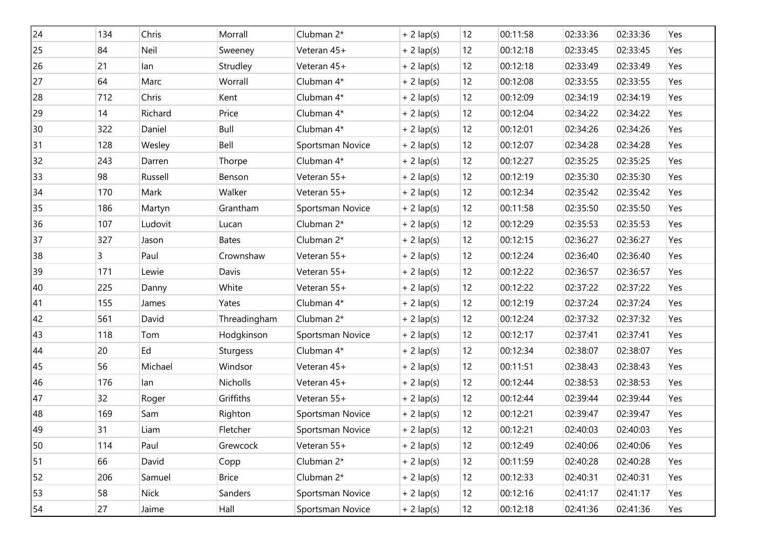| 24 | 134 | Chris       | Morrall      | Clubman 2*       | $+ 2$ lap(s) | 12                | 00:11:58 | 02:33:36 | 02:33:36 | Yes |
|----|-----|-------------|--------------|------------------|--------------|-------------------|----------|----------|----------|-----|
| 25 | 84  | Neil        | Sweeney      | Veteran 45+      | $+ 2$ lap(s) | 12                | 00:12:18 | 02:33:45 | 02:33:45 | Yes |
| 26 | 21  | lan         | Strudley     | Veteran 45+      | $+ 2$ lap(s) | 12                | 00:12:18 | 02:33:49 | 02:33:49 | Yes |
| 27 | 64  | Marc        | Worrall      | Clubman 4*       | $+2$ lap(s)  | 12                | 00:12:08 | 02:33:55 | 02:33:55 | Yes |
| 28 | 712 | Chris       | Kent         | Clubman 4*       | $+ 2$ lap(s) | 12                | 00:12:09 | 02:34:19 | 02:34:19 | Yes |
| 29 | 14  | Richard     | Price        | Clubman 4*       | $+ 2$ lap(s) | 12                | 00:12:04 | 02:34:22 | 02:34:22 | Yes |
| 30 | 322 | Daniel      | Bull         | Clubman 4*       | $+ 2$ lap(s) | 12                | 00:12:01 | 02:34:26 | 02:34:26 | Yes |
| 31 | 128 | Wesley      | Bell         | Sportsman Novice | $+ 2$ lap(s) | 12                | 00:12:07 | 02:34:28 | 02:34:28 | Yes |
| 32 | 243 | Darren      | Thorpe       | Clubman 4*       | $+ 2$ lap(s) | 12                | 00:12:27 | 02:35:25 | 02:35:25 | Yes |
| 33 | 98  | Russell     | Benson       | Veteran 55+      | $+ 2$ lap(s) | 12                | 00:12:19 | 02:35:30 | 02:35:30 | Yes |
| 34 | 170 | Mark        | Walker       | Veteran 55+      | $+ 2$ lap(s) | 12                | 00:12:34 | 02:35:42 | 02:35:42 | Yes |
| 35 | 186 | Martyn      | Grantham     | Sportsman Novice | $+ 2$ lap(s) | 12                | 00:11:58 | 02:35:50 | 02:35:50 | Yes |
| 36 | 107 | Ludovit     | Lucan        | Clubman 2*       | $+ 2$ lap(s) | 12                | 00:12:29 | 02:35:53 | 02:35:53 | Yes |
| 37 | 327 | Jason       | <b>Bates</b> | Clubman 2*       | $+ 2$ lap(s) | 12                | 00:12:15 | 02:36:27 | 02:36:27 | Yes |
| 38 | 3   | Paul        | Crownshaw    | Veteran 55+      | $+ 2$ lap(s) | 12                | 00:12:24 | 02:36:40 | 02:36:40 | Yes |
| 39 | 171 | Lewie       | Davis        | Veteran 55+      | $+ 2$ lap(s) | 12                | 00:12:22 | 02:36:57 | 02:36:57 | Yes |
| 40 | 225 | Danny       | White        | Veteran 55+      | $+ 2$ lap(s) | 12                | 00:12:22 | 02:37:22 | 02:37:22 | Yes |
| 41 | 155 | James       | Yates        | Clubman 4*       | $+ 2$ lap(s) | 12                | 00:12:19 | 02:37:24 | 02:37:24 | Yes |
| 42 | 561 | David       | Threadingham | Clubman 2*       | $+ 2$ lap(s) | 12                | 00:12:24 | 02:37:32 | 02:37:32 | Yes |
| 43 | 118 | Tom         | Hodgkinson   | Sportsman Novice | $+ 2$ lap(s) | 12                | 00:12:17 | 02:37:41 | 02:37:41 | Yes |
| 44 | 20  | Ed          | Sturgess     | Clubman 4*       | $+ 2$ lap(s) | 12                | 00:12:34 | 02:38:07 | 02:38:07 | Yes |
| 45 | 56  | Michael     | Windsor      | Veteran 45+      | $+ 2$ lap(s) | 12                | 00:11:51 | 02:38:43 | 02:38:43 | Yes |
| 46 | 176 | lan         | Nicholls     | Veteran 45+      | $+ 2$ lap(s) | 12                | 00:12:44 | 02:38:53 | 02:38:53 | Yes |
| 47 | 32  | Roger       | Griffiths    | Veteran 55+      | $+ 2$ lap(s) | 12                | 00:12:44 | 02:39:44 | 02:39:44 | Yes |
| 48 | 169 | Sam         | Righton      | Sportsman Novice | $+ 2$ lap(s) | 12                | 00:12:21 | 02:39:47 | 02:39:47 | Yes |
| 49 | 31  | Liam        | Fletcher     | Sportsman Novice | $+ 2$ lap(s) | 12                | 00:12:21 | 02:40:03 | 02:40:03 | Yes |
| 50 | 114 | Paul        | Grewcock     | Veteran 55+      | $+ 2$ lap(s) | $12 \overline{ }$ | 00:12:49 | 02:40:06 | 02:40:06 | Yes |
| 51 | 66  | David       | Copp         | Clubman 2*       | $+ 2$ lap(s) | $12 \overline{ }$ | 00:11:59 | 02:40:28 | 02:40:28 | Yes |
| 52 | 206 | Samuel      | <b>Brice</b> | Clubman 2*       | $+ 2$ lap(s) | 12                | 00:12:33 | 02:40:31 | 02:40:31 | Yes |
| 53 | 58  | <b>Nick</b> | Sanders      | Sportsman Novice | $+ 2$ lap(s) | 12                | 00:12:16 | 02:41:17 | 02:41:17 | Yes |
| 54 | 27  | Jaime       | Hall         | Sportsman Novice | $+ 2$ lap(s) | 12 <sup>°</sup>   | 00:12:18 | 02:41:36 | 02:41:36 | Yes |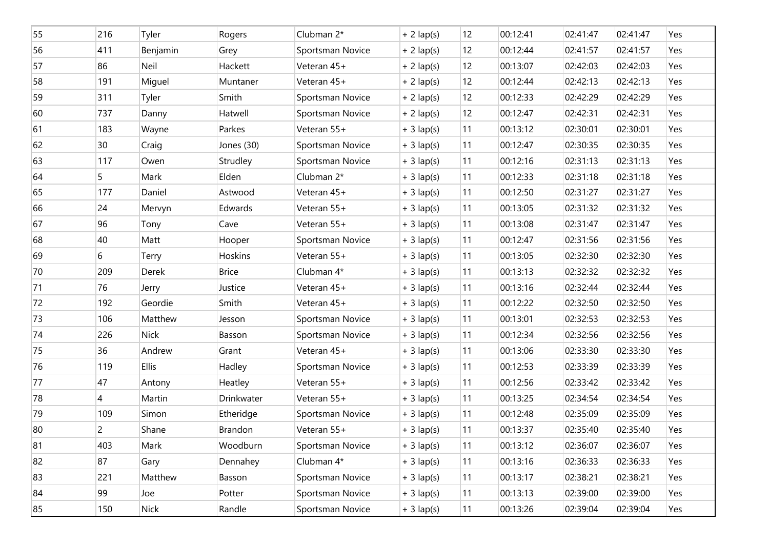| 55 | 216            | Tyler        | Rogers       | Clubman 2*       | $+ 2$ lap(s) | 12 | 00:12:41 | 02:41:47 | 02:41:47 | Yes |
|----|----------------|--------------|--------------|------------------|--------------|----|----------|----------|----------|-----|
| 56 | 411            | Benjamin     | Grey         | Sportsman Novice | $+ 2$ lap(s) | 12 | 00:12:44 | 02:41:57 | 02:41:57 | Yes |
| 57 | 86             | Neil         | Hackett      | Veteran 45+      | $+ 2$ lap(s) | 12 | 00:13:07 | 02:42:03 | 02:42:03 | Yes |
| 58 | 191            | Miguel       | Muntaner     | Veteran 45+      | $+ 2$ lap(s) | 12 | 00:12:44 | 02:42:13 | 02:42:13 | Yes |
| 59 | 311            | Tyler        | Smith        | Sportsman Novice | $+ 2$ lap(s) | 12 | 00:12:33 | 02:42:29 | 02:42:29 | Yes |
| 60 | 737            | Danny        | Hatwell      | Sportsman Novice | $+ 2$ lap(s) | 12 | 00:12:47 | 02:42:31 | 02:42:31 | Yes |
| 61 | 183            | Wayne        | Parkes       | Veteran 55+      | $+3$ lap(s)  | 11 | 00:13:12 | 02:30:01 | 02:30:01 | Yes |
| 62 | 30             | Craig        | Jones (30)   | Sportsman Novice | $+3$ lap(s)  | 11 | 00:12:47 | 02:30:35 | 02:30:35 | Yes |
| 63 | 117            | Owen         | Strudley     | Sportsman Novice | $+3$ lap(s)  | 11 | 00:12:16 | 02:31:13 | 02:31:13 | Yes |
| 64 | 5              | Mark         | Elden        | Clubman 2*       | $+3$ lap(s)  | 11 | 00:12:33 | 02:31:18 | 02:31:18 | Yes |
| 65 | 177            | Daniel       | Astwood      | Veteran 45+      | $+3$ lap(s)  | 11 | 00:12:50 | 02:31:27 | 02:31:27 | Yes |
| 66 | 24             | Mervyn       | Edwards      | Veteran 55+      | $+3$ lap(s)  | 11 | 00:13:05 | 02:31:32 | 02:31:32 | Yes |
| 67 | 96             | Tony         | Cave         | Veteran 55+      | $+3$ lap(s)  | 11 | 00:13:08 | 02:31:47 | 02:31:47 | Yes |
| 68 | 40             | Matt         | Hooper       | Sportsman Novice | $+3$ lap(s)  | 11 | 00:12:47 | 02:31:56 | 02:31:56 | Yes |
| 69 | 6              | Terry        | Hoskins      | Veteran 55+      | $+3$ lap(s)  | 11 | 00:13:05 | 02:32:30 | 02:32:30 | Yes |
| 70 | 209            | Derek        | <b>Brice</b> | Clubman 4*       | $+3$ lap(s)  | 11 | 00:13:13 | 02:32:32 | 02:32:32 | Yes |
| 71 | 76             | Jerry        | Justice      | Veteran 45+      | $+3$ lap(s)  | 11 | 00:13:16 | 02:32:44 | 02:32:44 | Yes |
| 72 | 192            | Geordie      | Smith        | Veteran 45+      | $+3$ lap(s)  | 11 | 00:12:22 | 02:32:50 | 02:32:50 | Yes |
| 73 | 106            | Matthew      | Jesson       | Sportsman Novice | $+3$ lap(s)  | 11 | 00:13:01 | 02:32:53 | 02:32:53 | Yes |
| 74 | 226            | <b>Nick</b>  | Basson       | Sportsman Novice | $+3$ lap(s)  | 11 | 00:12:34 | 02:32:56 | 02:32:56 | Yes |
| 75 | 36             | Andrew       | Grant        | Veteran 45+      | $+3$ lap(s)  | 11 | 00:13:06 | 02:33:30 | 02:33:30 | Yes |
| 76 | 119            | <b>Ellis</b> | Hadley       | Sportsman Novice | $+3$ lap(s)  | 11 | 00:12:53 | 02:33:39 | 02:33:39 | Yes |
| 77 | 47             | Antony       | Heatley      | Veteran 55+      | $+3$ lap(s)  | 11 | 00:12:56 | 02:33:42 | 02:33:42 | Yes |
| 78 | 4              | Martin       | Drinkwater   | Veteran 55+      | $+3$ lap(s)  | 11 | 00:13:25 | 02:34:54 | 02:34:54 | Yes |
| 79 | 109            | Simon        | Etheridge    | Sportsman Novice | $+3$ lap(s)  | 11 | 00:12:48 | 02:35:09 | 02:35:09 | Yes |
| 80 | $\overline{c}$ | Shane        | Brandon      | Veteran 55+      | $+3$ lap(s)  | 11 | 00:13:37 | 02:35:40 | 02:35:40 | Yes |
| 81 | 403            | Mark         | Woodburn     | Sportsman Novice | $+3$ lap(s)  | 11 | 00:13:12 | 02:36:07 | 02:36:07 | Yes |
| 82 | 87             | Gary         | Dennahey     | Clubman 4*       | $+3$ lap(s)  | 11 | 00:13:16 | 02:36:33 | 02:36:33 | Yes |
| 83 | 221            | Matthew      | Basson       | Sportsman Novice | $+3$ lap(s)  | 11 | 00:13:17 | 02:38:21 | 02:38:21 | Yes |
| 84 | 99             | Joe          | Potter       | Sportsman Novice | $+3$ lap(s)  | 11 | 00:13:13 | 02:39:00 | 02:39:00 | Yes |
| 85 | 150            | <b>Nick</b>  | Randle       | Sportsman Novice | $+3$ lap(s)  | 11 | 00:13:26 | 02:39:04 | 02:39:04 | Yes |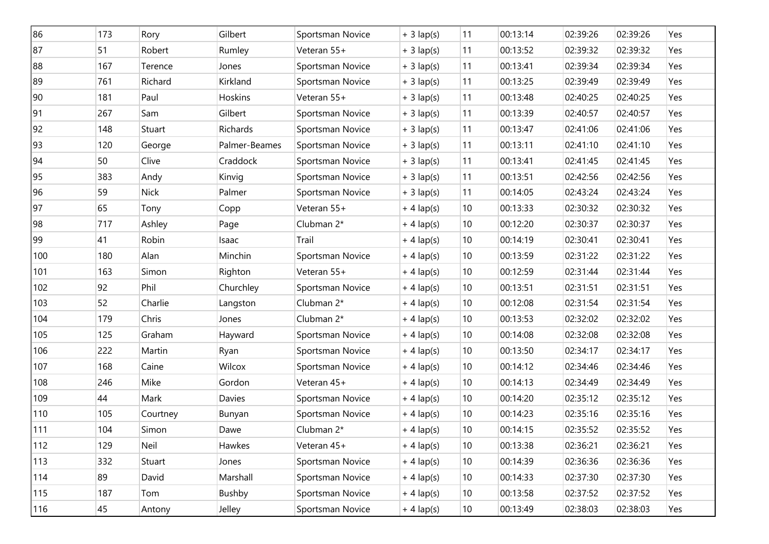| 86  | 173 | Rory        | Gilbert       | Sportsman Novice | $+3$ lap(s) | 11           | 00:13:14 | 02:39:26 | 02:39:26 | Yes |
|-----|-----|-------------|---------------|------------------|-------------|--------------|----------|----------|----------|-----|
| 87  | 51  | Robert      | Rumley        | Veteran 55+      | $+3$ lap(s) | 11           | 00:13:52 | 02:39:32 | 02:39:32 | Yes |
| 88  | 167 | Terence     | Jones         | Sportsman Novice | $+3$ lap(s) | 11           | 00:13:41 | 02:39:34 | 02:39:34 | Yes |
| 89  | 761 | Richard     | Kirkland      | Sportsman Novice | $+3$ lap(s) | 11           | 00:13:25 | 02:39:49 | 02:39:49 | Yes |
| 90  | 181 | Paul        | Hoskins       | Veteran 55+      | $+3$ lap(s) | 11           | 00:13:48 | 02:40:25 | 02:40:25 | Yes |
| 91  | 267 | Sam         | Gilbert       | Sportsman Novice | $+3$ lap(s) | 11           | 00:13:39 | 02:40:57 | 02:40:57 | Yes |
| 92  | 148 | Stuart      | Richards      | Sportsman Novice | $+3$ lap(s) | 11           | 00:13:47 | 02:41:06 | 02:41:06 | Yes |
| 93  | 120 | George      | Palmer-Beames | Sportsman Novice | $+3$ lap(s) | 11           | 00:13:11 | 02:41:10 | 02:41:10 | Yes |
| 94  | 50  | Clive       | Craddock      | Sportsman Novice | $+3$ lap(s) | 11           | 00:13:41 | 02:41:45 | 02:41:45 | Yes |
| 95  | 383 | Andy        | Kinvig        | Sportsman Novice | $+3$ lap(s) | 11           | 00:13:51 | 02:42:56 | 02:42:56 | Yes |
| 96  | 59  | <b>Nick</b> | Palmer        | Sportsman Novice | $+3$ lap(s) | 11           | 00:14:05 | 02:43:24 | 02:43:24 | Yes |
| 97  | 65  | Tony        | Copp          | Veteran 55+      | $+4$ lap(s) | 10           | 00:13:33 | 02:30:32 | 02:30:32 | Yes |
| 98  | 717 | Ashley      | Page          | Clubman 2*       | $+4$ lap(s) | 10           | 00:12:20 | 02:30:37 | 02:30:37 | Yes |
| 99  | 41  | Robin       | Isaac         | Trail            | $+4$ lap(s) | 10           | 00:14:19 | 02:30:41 | 02:30:41 | Yes |
| 100 | 180 | Alan        | Minchin       | Sportsman Novice | $+4$ lap(s) | $10$         | 00:13:59 | 02:31:22 | 02:31:22 | Yes |
| 101 | 163 | Simon       | Righton       | Veteran 55+      | $+4$ lap(s) | 10           | 00:12:59 | 02:31:44 | 02:31:44 | Yes |
| 102 | 92  | Phil        | Churchley     | Sportsman Novice | $+4$ lap(s) | $10$         | 00:13:51 | 02:31:51 | 02:31:51 | Yes |
| 103 | 52  | Charlie     | Langston      | Clubman 2*       | $+4$ lap(s) | 10           | 00:12:08 | 02:31:54 | 02:31:54 | Yes |
| 104 | 179 | Chris       | Jones         | Clubman 2*       | $+4$ lap(s) | $10$         | 00:13:53 | 02:32:02 | 02:32:02 | Yes |
| 105 | 125 | Graham      | Hayward       | Sportsman Novice | $+4$ lap(s) | 10           | 00:14:08 | 02:32:08 | 02:32:08 | Yes |
| 106 | 222 | Martin      | Ryan          | Sportsman Novice | $+4$ lap(s) | $10$         | 00:13:50 | 02:34:17 | 02:34:17 | Yes |
| 107 | 168 | Caine       | Wilcox        | Sportsman Novice | $+4$ lap(s) | 10           | 00:14:12 | 02:34:46 | 02:34:46 | Yes |
| 108 | 246 | Mike        | Gordon        | Veteran 45+      | $+4$ lap(s) | 10           | 00:14:13 | 02:34:49 | 02:34:49 | Yes |
| 109 | 44  | Mark        | Davies        | Sportsman Novice | $+4$ lap(s) | $10$         | 00:14:20 | 02:35:12 | 02:35:12 | Yes |
| 110 | 105 | Courtney    | Bunyan        | Sportsman Novice | $+4$ lap(s) | 10           | 00:14:23 | 02:35:16 | 02:35:16 | Yes |
| 111 | 104 | Simon       | Dawe          | Clubman 2*       | $+4$ lap(s) | 10           | 00:14:15 | 02:35:52 | 02:35:52 | Yes |
| 112 | 129 | Neil        | Hawkes        | Veteran 45+      | $+4$ lap(s) | 10           | 00:13:38 | 02:36:21 | 02:36:21 | Yes |
| 113 | 332 | Stuart      | Jones         | Sportsman Novice | $+4$ lap(s) | 10           | 00:14:39 | 02:36:36 | 02:36:36 | Yes |
| 114 | 89  | David       | Marshall      | Sportsman Novice | $+4$ lap(s) | 10           | 00:14:33 | 02:37:30 | 02:37:30 | Yes |
| 115 | 187 | Tom         | Bushby        | Sportsman Novice | $+4$ lap(s) | 10           | 00:13:58 | 02:37:52 | 02:37:52 | Yes |
| 116 | 45  | Antony      | Jelley        | Sportsman Novice | $+4$ lap(s) | $ 10\rangle$ | 00:13:49 | 02:38:03 | 02:38:03 | Yes |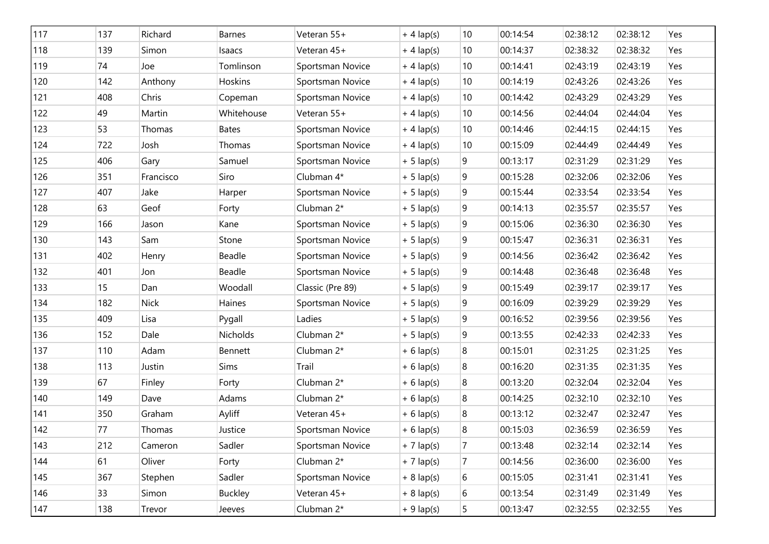| 117 | 137 | Richard     | <b>Barnes</b>  | Veteran 55+      | $+4$ lap(s)  | 10             | 00:14:54 | 02:38:12 | 02:38:12 | Yes |
|-----|-----|-------------|----------------|------------------|--------------|----------------|----------|----------|----------|-----|
| 118 | 139 | Simon       | Isaacs         | Veteran 45+      | $+4$ lap(s)  | 10             | 00:14:37 | 02:38:32 | 02:38:32 | Yes |
| 119 | 74  | Joe         | Tomlinson      | Sportsman Novice | $+4$ lap(s)  | 10             | 00:14:41 | 02:43:19 | 02:43:19 | Yes |
| 120 | 142 | Anthony     | Hoskins        | Sportsman Novice | $+4$ lap(s)  | $10$           | 00:14:19 | 02:43:26 | 02:43:26 | Yes |
| 121 | 408 | Chris       | Copeman        | Sportsman Novice | $+4$ lap(s)  | 10             | 00:14:42 | 02:43:29 | 02:43:29 | Yes |
| 122 | 49  | Martin      | Whitehouse     | Veteran 55+      | $+4$ lap(s)  | $10$           | 00:14:56 | 02:44:04 | 02:44:04 | Yes |
| 123 | 53  | Thomas      | <b>Bates</b>   | Sportsman Novice | $+4$ lap(s)  | 10             | 00:14:46 | 02:44:15 | 02:44:15 | Yes |
| 124 | 722 | Josh        | Thomas         | Sportsman Novice | $+4$ lap(s)  | $10$           | 00:15:09 | 02:44:49 | 02:44:49 | Yes |
| 125 | 406 | Gary        | Samuel         | Sportsman Novice | $+ 5$ lap(s) | 9              | 00:13:17 | 02:31:29 | 02:31:29 | Yes |
| 126 | 351 | Francisco   | Siro           | Clubman 4*       | $+ 5$ lap(s) | 9              | 00:15:28 | 02:32:06 | 02:32:06 | Yes |
| 127 | 407 | Jake        | Harper         | Sportsman Novice | $+ 5$ lap(s) | 9              | 00:15:44 | 02:33:54 | 02:33:54 | Yes |
| 128 | 63  | Geof        | Forty          | Clubman 2*       | $+ 5$ lap(s) | 9              | 00:14:13 | 02:35:57 | 02:35:57 | Yes |
| 129 | 166 | Jason       | Kane           | Sportsman Novice | $+ 5$ lap(s) | $\overline{9}$ | 00:15:06 | 02:36:30 | 02:36:30 | Yes |
| 130 | 143 | Sam         | Stone          | Sportsman Novice | $+ 5$ lap(s) | 9              | 00:15:47 | 02:36:31 | 02:36:31 | Yes |
| 131 | 402 | Henry       | Beadle         | Sportsman Novice | $+ 5$ lap(s) | 9              | 00:14:56 | 02:36:42 | 02:36:42 | Yes |
| 132 | 401 | Jon         | Beadle         | Sportsman Novice | $+ 5$ lap(s) | 9              | 00:14:48 | 02:36:48 | 02:36:48 | Yes |
| 133 | 15  | Dan         | Woodall        | Classic (Pre 89) | $+ 5$ lap(s) | 9              | 00:15:49 | 02:39:17 | 02:39:17 | Yes |
| 134 | 182 | <b>Nick</b> | Haines         | Sportsman Novice | $+ 5$ lap(s) | 9              | 00:16:09 | 02:39:29 | 02:39:29 | Yes |
| 135 | 409 | Lisa        | Pygall         | Ladies           | $+ 5$ lap(s) | 9              | 00:16:52 | 02:39:56 | 02:39:56 | Yes |
| 136 | 152 | Dale        | Nicholds       | Clubman 2*       | $+ 5$ lap(s) | 9              | 00:13:55 | 02:42:33 | 02:42:33 | Yes |
| 137 | 110 | Adam        | Bennett        | Clubman 2*       | $+ 6$ lap(s) | 8              | 00:15:01 | 02:31:25 | 02:31:25 | Yes |
| 138 | 113 | Justin      | Sims           | Trail            | $+ 6$ lap(s) | 8              | 00:16:20 | 02:31:35 | 02:31:35 | Yes |
| 139 | 67  | Finley      | Forty          | Clubman 2*       | $+ 6$ lap(s) | 8              | 00:13:20 | 02:32:04 | 02:32:04 | Yes |
| 140 | 149 | Dave        | Adams          | Clubman 2*       | $+ 6$ lap(s) | 8              | 00:14:25 | 02:32:10 | 02:32:10 | Yes |
| 141 | 350 | Graham      | Ayliff         | Veteran 45+      | $+ 6$ lap(s) | 8              | 00:13:12 | 02:32:47 | 02:32:47 | Yes |
| 142 | 77  | Thomas      | Justice        | Sportsman Novice | $+ 6$ lap(s) | 8              | 00:15:03 | 02:36:59 | 02:36:59 | Yes |
| 143 | 212 | Cameron     | Sadler         | Sportsman Novice | $+7$ lap(s)  | $\overline{7}$ | 00:13:48 | 02:32:14 | 02:32:14 | Yes |
| 144 | 61  | Oliver      | Forty          | Clubman 2*       | $+7$ lap(s)  | $\overline{7}$ | 00:14:56 | 02:36:00 | 02:36:00 | Yes |
| 145 | 367 | Stephen     | Sadler         | Sportsman Novice | $+ 8$ lap(s) | 6              | 00:15:05 | 02:31:41 | 02:31:41 | Yes |
| 146 | 33  | Simon       | <b>Buckley</b> | Veteran 45+      | $+ 8$ lap(s) | 6              | 00:13:54 | 02:31:49 | 02:31:49 | Yes |
| 147 | 138 | Trevor      | Jeeves         | Clubman 2*       | $+9$ lap(s)  | 5              | 00:13:47 | 02:32:55 | 02:32:55 | Yes |